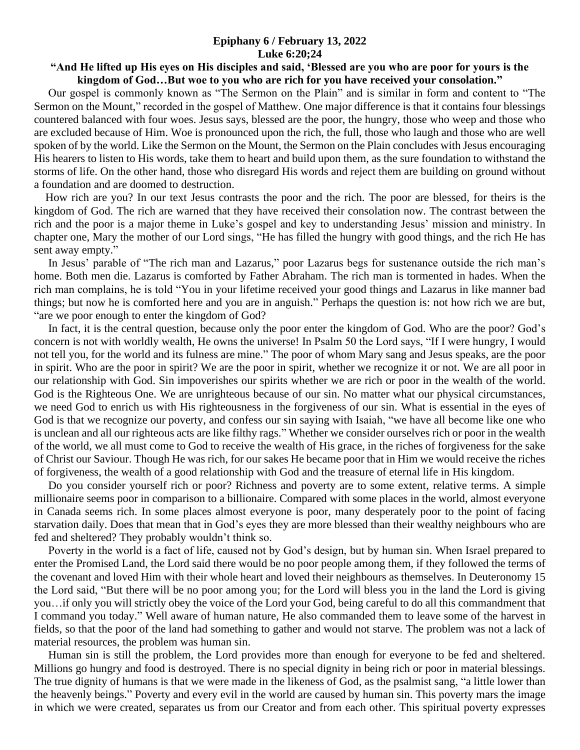## **Epiphany 6 / February 13, 2022 Luke 6:20;24**

## **"And He lifted up His eyes on His disciples and said, 'Blessed are you who are poor for yours is the kingdom of God…But woe to you who are rich for you have received your consolation."**

 Our gospel is commonly known as "The Sermon on the Plain" and is similar in form and content to "The Sermon on the Mount," recorded in the gospel of Matthew. One major difference is that it contains four blessings countered balanced with four woes. Jesus says, blessed are the poor, the hungry, those who weep and those who are excluded because of Him. Woe is pronounced upon the rich, the full, those who laugh and those who are well spoken of by the world. Like the Sermon on the Mount, the Sermon on the Plain concludes with Jesus encouraging His hearers to listen to His words, take them to heart and build upon them, as the sure foundation to withstand the storms of life. On the other hand, those who disregard His words and reject them are building on ground without a foundation and are doomed to destruction.

 How rich are you? In our text Jesus contrasts the poor and the rich. The poor are blessed, for theirs is the kingdom of God. The rich are warned that they have received their consolation now. The contrast between the rich and the poor is a major theme in Luke's gospel and key to understanding Jesus' mission and ministry. In chapter one, Mary the mother of our Lord sings, "He has filled the hungry with good things, and the rich He has sent away empty."

 In Jesus' parable of "The rich man and Lazarus," poor Lazarus begs for sustenance outside the rich man's home. Both men die. Lazarus is comforted by Father Abraham. The rich man is tormented in hades. When the rich man complains, he is told "You in your lifetime received your good things and Lazarus in like manner bad things; but now he is comforted here and you are in anguish." Perhaps the question is: not how rich we are but, "are we poor enough to enter the kingdom of God?

 In fact, it is the central question, because only the poor enter the kingdom of God. Who are the poor? God's concern is not with worldly wealth, He owns the universe! In Psalm 50 the Lord says, "If I were hungry, I would not tell you, for the world and its fulness are mine." The poor of whom Mary sang and Jesus speaks, are the poor in spirit. Who are the poor in spirit? We are the poor in spirit, whether we recognize it or not. We are all poor in our relationship with God. Sin impoverishes our spirits whether we are rich or poor in the wealth of the world. God is the Righteous One. We are unrighteous because of our sin. No matter what our physical circumstances, we need God to enrich us with His righteousness in the forgiveness of our sin. What is essential in the eyes of God is that we recognize our poverty, and confess our sin saying with Isaiah, "we have all become like one who is unclean and all our righteous acts are like filthy rags." Whether we consider ourselves rich or poor in the wealth of the world, we all must come to God to receive the wealth of His grace, in the riches of forgiveness for the sake of Christ our Saviour. Though He was rich, for our sakes He became poor that in Him we would receive the riches of forgiveness, the wealth of a good relationship with God and the treasure of eternal life in His kingdom.

 Do you consider yourself rich or poor? Richness and poverty are to some extent, relative terms. A simple millionaire seems poor in comparison to a billionaire. Compared with some places in the world, almost everyone in Canada seems rich. In some places almost everyone is poor, many desperately poor to the point of facing starvation daily. Does that mean that in God's eyes they are more blessed than their wealthy neighbours who are fed and sheltered? They probably wouldn't think so.

 Poverty in the world is a fact of life, caused not by God's design, but by human sin. When Israel prepared to enter the Promised Land, the Lord said there would be no poor people among them, if they followed the terms of the covenant and loved Him with their whole heart and loved their neighbours as themselves. In Deuteronomy 15 the Lord said, "But there will be no poor among you; for the Lord will bless you in the land the Lord is giving you…if only you will strictly obey the voice of the Lord your God, being careful to do all this commandment that I command you today." Well aware of human nature, He also commanded them to leave some of the harvest in fields, so that the poor of the land had something to gather and would not starve. The problem was not a lack of material resources, the problem was human sin.

 Human sin is still the problem, the Lord provides more than enough for everyone to be fed and sheltered. Millions go hungry and food is destroyed. There is no special dignity in being rich or poor in material blessings. The true dignity of humans is that we were made in the likeness of God, as the psalmist sang, "a little lower than the heavenly beings." Poverty and every evil in the world are caused by human sin. This poverty mars the image in which we were created, separates us from our Creator and from each other. This spiritual poverty expresses